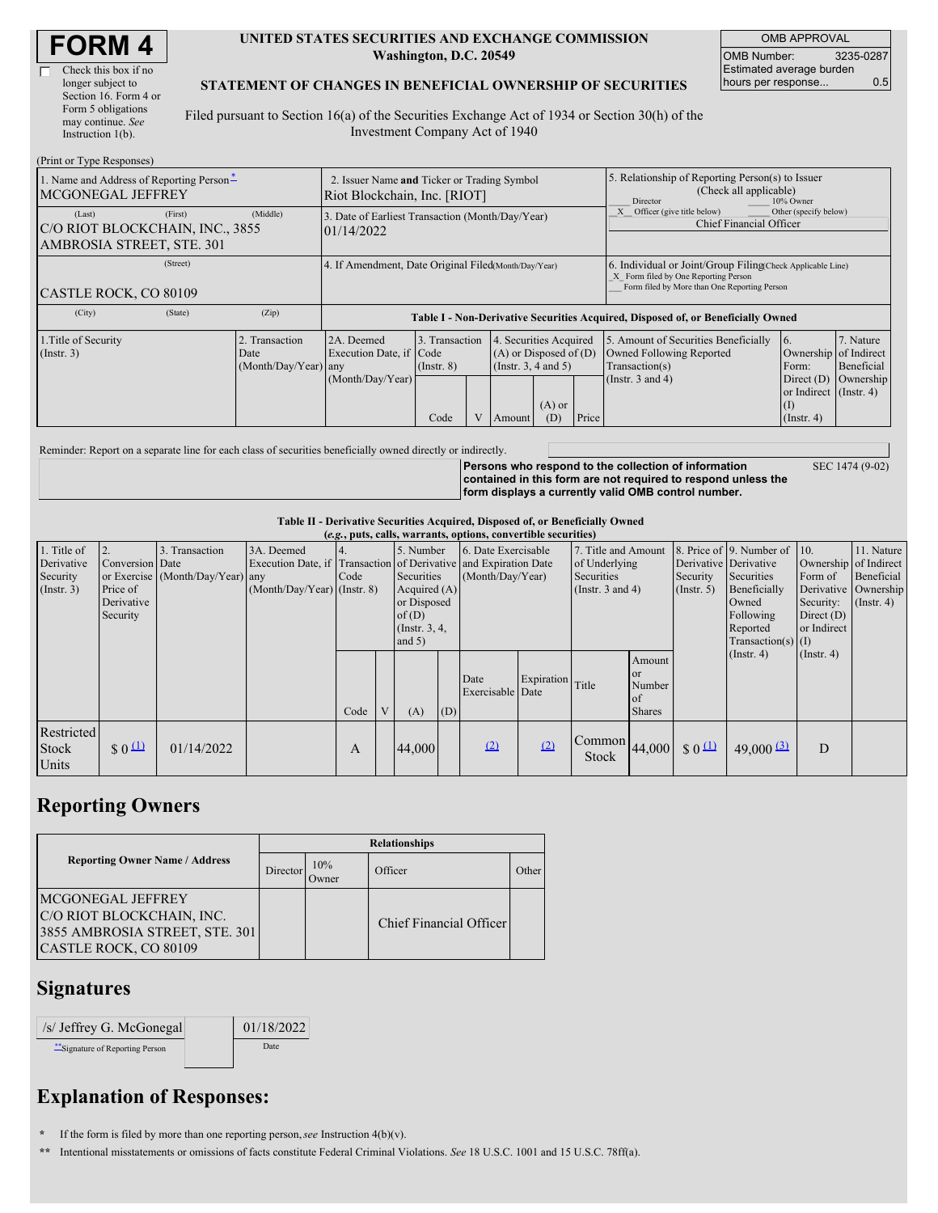| Check this box if no  |
|-----------------------|
| longer subject to     |
| Section 16. Form 4 or |
| Form 5 obligations    |
| may continue. See     |
| Instruction $1(b)$ .  |

 $(Drint or TrmeBe)$ 

#### **UNITED STATES SECURITIES AND EXCHANGE COMMISSION Washington, D.C. 20549**

OMB APPROVAL OMB Number: 3235-0287 Estimated average burden hours per response... 0.5

#### **STATEMENT OF CHANGES IN BENEFICIAL OWNERSHIP OF SECURITIES**

Filed pursuant to Section 16(a) of the Securities Exchange Act of 1934 or Section 30(h) of the Investment Company Act of 1940

| $(1 \text{ nm of 1 ypc respectively})$<br>1. Name and Address of Reporting Person-<br>MCGONEGAL JEFFREY | 2. Issuer Name and Ticker or Trading Symbol<br>Riot Blockchain, Inc. [RIOT] |                                                                                  |                                           |  |                                                                                        |                 | 5. Relationship of Reporting Person(s) to Issuer<br>(Check all applicable)<br>Director<br>10% Owner |                                                                                                                                                    |                                                                                                                 |                                      |  |
|---------------------------------------------------------------------------------------------------------|-----------------------------------------------------------------------------|----------------------------------------------------------------------------------|-------------------------------------------|--|----------------------------------------------------------------------------------------|-----------------|-----------------------------------------------------------------------------------------------------|----------------------------------------------------------------------------------------------------------------------------------------------------|-----------------------------------------------------------------------------------------------------------------|--------------------------------------|--|
| (First)<br>(Last)<br>C/O RIOT BLOCKCHAIN, INC., 3855<br>AMBROSIA STREET, STE. 301                       | (Middle)                                                                    | 3. Date of Earliest Transaction (Month/Day/Year)<br>01/14/2022                   |                                           |  |                                                                                        |                 | Other (specify below)<br>Officer (give title below)<br>Chief Financial Officer                      |                                                                                                                                                    |                                                                                                                 |                                      |  |
| (Street)<br>CASTLE ROCK, CO 80109                                                                       |                                                                             | 4. If Amendment, Date Original Filed(Month/Day/Year)                             |                                           |  |                                                                                        |                 |                                                                                                     | 6. Individual or Joint/Group Filing Check Applicable Line)<br>X Form filed by One Reporting Person<br>Form filed by More than One Reporting Person |                                                                                                                 |                                      |  |
| (City)<br>(State)                                                                                       | (Zip)                                                                       | Table I - Non-Derivative Securities Acquired, Disposed of, or Beneficially Owned |                                           |  |                                                                                        |                 |                                                                                                     |                                                                                                                                                    |                                                                                                                 |                                      |  |
| 1. Title of Security<br>$($ Instr. 3 $)$                                                                | Transaction<br>Date<br>(Month/Day/Year) any                                 | 2A. Deemed<br>Execution Date, if Code<br>(Month/Day/Year)                        | 3. Transaction<br>$($ Instr. $8)$<br>Code |  | 4. Securities Acquired<br>$(A)$ or Disposed of $(D)$<br>(Insert. 3, 4 and 5)<br>Amount | $(A)$ or<br>(D) | Price                                                                                               | 5. Amount of Securities Beneficially<br>Owned Following Reported<br>Transaction(s)<br>(Instr. $3$ and $4$ )                                        | 16.<br>Ownership of Indirect<br>Form:<br>Direct $(D)$<br>or Indirect (Instr. 4)<br>$\rm(I)$<br>$($ Instr. 4 $)$ | 7. Nature<br>Beneficial<br>Ownership |  |

Reminder: Report on a separate line for each class of securities beneficially owned directly or indirectly.

**Persons who respond to the collection of information contained in this form are not required to respond unless the form displays a currently valid OMB control number.**

SEC 1474 (9-02)

## **Table II - Derivative Securities Acquired, Disposed of, or Beneficially Owned**

| (e.g., puts, calls, warrants, options, convertible securities) |                                                       |                                                    |                                             |      |   |                                                                                                    |     |                                                                                                             |                  |                                                                         |                                                      |                                                  |                                                                                                                      |                                                     |                                                                                            |
|----------------------------------------------------------------|-------------------------------------------------------|----------------------------------------------------|---------------------------------------------|------|---|----------------------------------------------------------------------------------------------------|-----|-------------------------------------------------------------------------------------------------------------|------------------|-------------------------------------------------------------------------|------------------------------------------------------|--------------------------------------------------|----------------------------------------------------------------------------------------------------------------------|-----------------------------------------------------|--------------------------------------------------------------------------------------------|
| 1. Title of<br>Derivative<br>Security<br>$($ Instr. 3 $)$      | Conversion Date<br>Price of<br>Derivative<br>Security | 3. Transaction<br>or Exercise (Month/Day/Year) any | 3A. Deemed<br>$(Month/Day/Year)$ (Instr. 8) | Code |   | 5. Number<br>Securities<br>Acquired $(A)$<br>or Disposed<br>of(D)<br>(Instr. $3, 4,$ )<br>and $5)$ |     | 6. Date Exercisable<br>Execution Date, if Transaction of Derivative and Expiration Date<br>(Month/Day/Year) |                  | 7. Title and Amount<br>of Underlying<br>Securities<br>(Insert. 3 and 4) |                                                      | Derivative Derivative<br>Security<br>(Insert. 5) | 8. Price of 9. Number of 10.<br>Securities<br>Beneficially<br>Owned<br>Following<br>Reported<br>Transaction(s) $(I)$ | Form of<br>Security:<br>Direct $(D)$<br>or Indirect | 11. Nature<br>Ownership of Indirect<br>Beneficial<br>Derivative Ownership<br>$($ Instr. 4) |
|                                                                |                                                       |                                                    |                                             | Code | V | (A)                                                                                                | (D) | Date<br>Exercisable Date                                                                                    | Expiration Title |                                                                         | Amount<br>or<br>Number<br><b>of</b><br><b>Shares</b> |                                                  | $($ Instr. 4 $)$                                                                                                     | $($ Instr. 4 $)$                                    |                                                                                            |
| Restricted<br><b>Stock</b><br>Units                            | $\frac{1}{2}0$                                        | 01/14/2022                                         |                                             | A    |   | 44,000                                                                                             |     | (2)                                                                                                         | (2)              | Common<br>Stock                                                         | 44,000                                               | $\frac{1}{2}0$                                   | 49,000 $\frac{(3)}{2}$                                                                                               | D                                                   |                                                                                            |

## **Reporting Owners**

|                                                                                                                  | <b>Relationships</b> |                      |                         |       |  |  |  |  |  |
|------------------------------------------------------------------------------------------------------------------|----------------------|----------------------|-------------------------|-------|--|--|--|--|--|
| <b>Reporting Owner Name / Address</b>                                                                            | Director             | 10%<br><b>J</b> wner | Officer                 | Other |  |  |  |  |  |
| <b>MCGONEGAL JEFFREY</b><br>C/O RIOT BLOCKCHAIN, INC.<br>3855 AMBROSIA STREET, STE. 301<br>CASTLE ROCK, CO 80109 |                      |                      | Chief Financial Officer |       |  |  |  |  |  |

#### **Signatures**

| $/s$ Jeffrey G. McGonegal      | 01/18/2022 |
|--------------------------------|------------|
| "Signature of Reporting Person | Date       |

# **Explanation of Responses:**

**\*** If the form is filed by more than one reporting person,*see* Instruction 4(b)(v).

**\*\*** Intentional misstatements or omissions of facts constitute Federal Criminal Violations. *See* 18 U.S.C. 1001 and 15 U.S.C. 78ff(a).